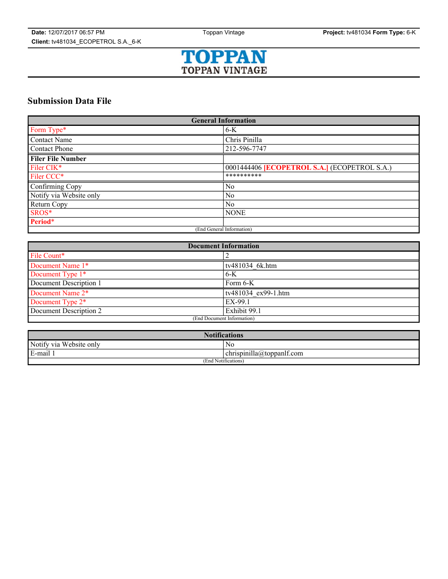

# **Submission Data File**

| <b>General Information</b> |                                                     |
|----------------------------|-----------------------------------------------------|
| Form Type*                 | $6-K$                                               |
| <b>Contact Name</b>        | Chris Pinilla                                       |
| <b>Contact Phone</b>       | 212-596-7747                                        |
| <b>Filer File Number</b>   |                                                     |
| Filer CIK*                 | 0001444406 <b>[ECOPETROL S.A.]</b> (ECOPETROL S.A.) |
| Filer CCC*                 | **********                                          |
| Confirming Copy            | No                                                  |
| Notify via Website only    | N <sub>0</sub>                                      |
| Return Copy                | No                                                  |
| SROS*                      | <b>NONE</b>                                         |
| Period*                    |                                                     |
| (End General Information)  |                                                     |

| <b>Document Information</b> |                              |
|-----------------------------|------------------------------|
| File Count*                 |                              |
| Document Name 1*            | tv481034 6k.htm              |
| Document Type 1*            | $6-K$                        |
| Document Description 1      | Form 6-K                     |
| Document Name 2*            | $\sqrt{tv481034}$ ex99-1.htm |
| Document Type 2*            | EX-99.1                      |
| Document Description 2      | Exhibit 99.1                 |
| (End Document Information)  |                              |

| <b>Notifications</b>    |                           |
|-------------------------|---------------------------|
| Notify via Website only | N0                        |
| E-mail                  | chrispinilla@toppanlf.com |
| (End Notifications)     |                           |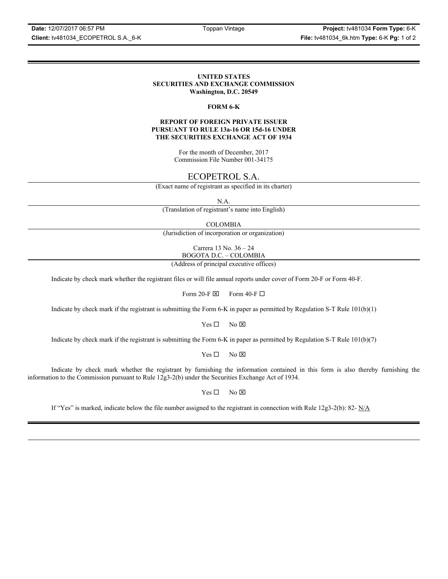**Date:** 12/07/2017 06:57 PM Toppan Vintage **Project:** tv481034 **Form Type:** 6-K **Client:** tv481034\_ECOPETROL S.A.\_6-K **File:** tv481034\_6k.htm **Type:** 6-K **Pg:** 1 of 2

## **UNITED STATES SECURITIES AND EXCHANGE COMMISSION Washington, D.C. 20549**

## **FORM 6-K**

#### **REPORT OF FOREIGN PRIVATE ISSUER PURSUANT TO RULE 13a-16 OR 15d-16 UNDER THE SECURITIES EXCHANGE ACT OF 1934**

For the month of December, 2017 Commission File Number 001-34175

# ECOPETROL S.A.

(Exact name of registrant as specified in its charter)

N.A.

(Translation of registrant's name into English)

COLOMBIA

(Jurisdiction of incorporation or organization)

Carrera 13 No. 36 – 24 BOGOTA D.C. – COLOMBIA

(Address of principal executive offices)

Indicate by check mark whether the registrant files or will file annual reports under cover of Form 20-F or Form 40-F.

Form 20-F  $\boxtimes$  Form 40-F  $\Box$ 

Indicate by check mark if the registrant is submitting the Form 6-K in paper as permitted by Regulation S-T Rule 101(b)(1)

 $Yes \Box$  No  $\overline{\times}$ 

Indicate by check mark if the registrant is submitting the Form 6-K in paper as permitted by Regulation S-T Rule 101(b)(7)

 $Yes \Box$  No  $\boxtimes$ 

Indicate by check mark whether the registrant by furnishing the information contained in this form is also thereby furnishing the information to the Commission pursuant to Rule 12g3-2(b) under the Securities Exchange Act of 1934.

 $Yes \Box$  No  $\boxtimes$ 

If "Yes" is marked, indicate below the file number assigned to the registrant in connection with Rule 12g3-2(b): 82-  $N/A$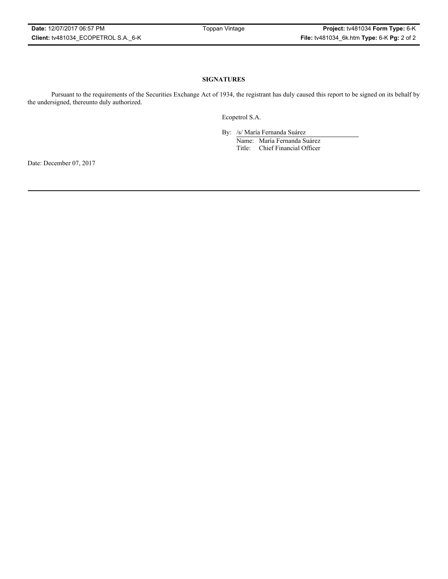# **SIGNATURES**

Pursuant to the requirements of the Securities Exchange Act of 1934, the registrant has duly caused this report to be signed on its behalf by the undersigned, thereunto duly authorized.

Ecopetrol S.A.

By: /s/ María Fernanda Suárez Name: María Fernanda Suárez Title: Chief Financial Officer

Date: December 07, 2017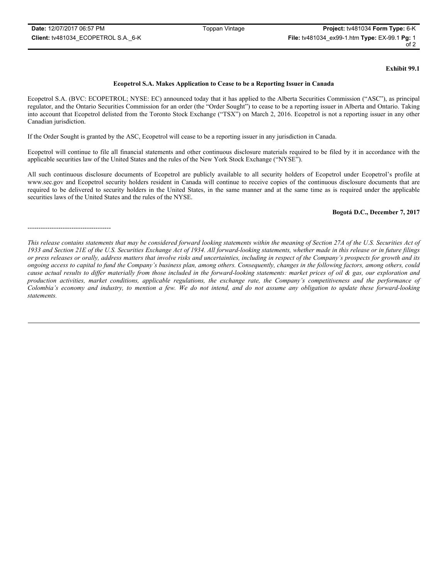## **Exhibit 99.1**

#### **Ecopetrol S.A. Makes Application to Cease to be a Reporting Issuer in Canada**

Ecopetrol S.A. (BVC: ECOPETROL; NYSE: EC) announced today that it has applied to the Alberta Securities Commission ("ASC"), as principal regulator, and the Ontario Securities Commission for an order (the "Order Sought") to cease to be a reporting issuer in Alberta and Ontario. Taking into account that Ecopetrol delisted from the Toronto Stock Exchange ("TSX") on March 2, 2016. Ecopetrol is not a reporting issuer in any other Canadian jurisdiction.

If the Order Sought is granted by the ASC, Ecopetrol will cease to be a reporting issuer in any jurisdiction in Canada.

Ecopetrol will continue to file all financial statements and other continuous disclosure materials required to be filed by it in accordance with the applicable securities law of the United States and the rules of the New York Stock Exchange ("NYSE").

All such continuous disclosure documents of Ecopetrol are publicly available to all security holders of Ecopetrol under Ecopetrol's profile at www.sec.gov and Ecopetrol security holders resident in Canada will continue to receive copies of the continuous disclosure documents that are required to be delivered to security holders in the United States, in the same manner and at the same time as is required under the applicable securities laws of the United States and the rules of the NYSE.

# **Bogotá D.C., December 7, 2017**

#### --------------------------------------

*This release contains statements that may be considered forward looking statements within the meaning of Section 27A of the U.S. Securities Act of 1933 and Section 21E of the U.S. Securities Exchange Act of 1934. All forward-looking statements, whether made in this release or in future filings or press releases or orally, address matters that involve risks and uncertainties, including in respect of the Company's prospects for growth and its ongoing access to capital to fund the Company's business plan, among others. Consequently, changes in the following factors, among others, could cause actual results to differ materially from those included in the forward-looking statements: market prices of oil & gas, our exploration and production activities, market conditions, applicable regulations, the exchange rate, the Company's competitiveness and the performance of Colombia's economy and industry, to mention a few. We do not intend, and do not assume any obligation to update these forward-looking statements.*